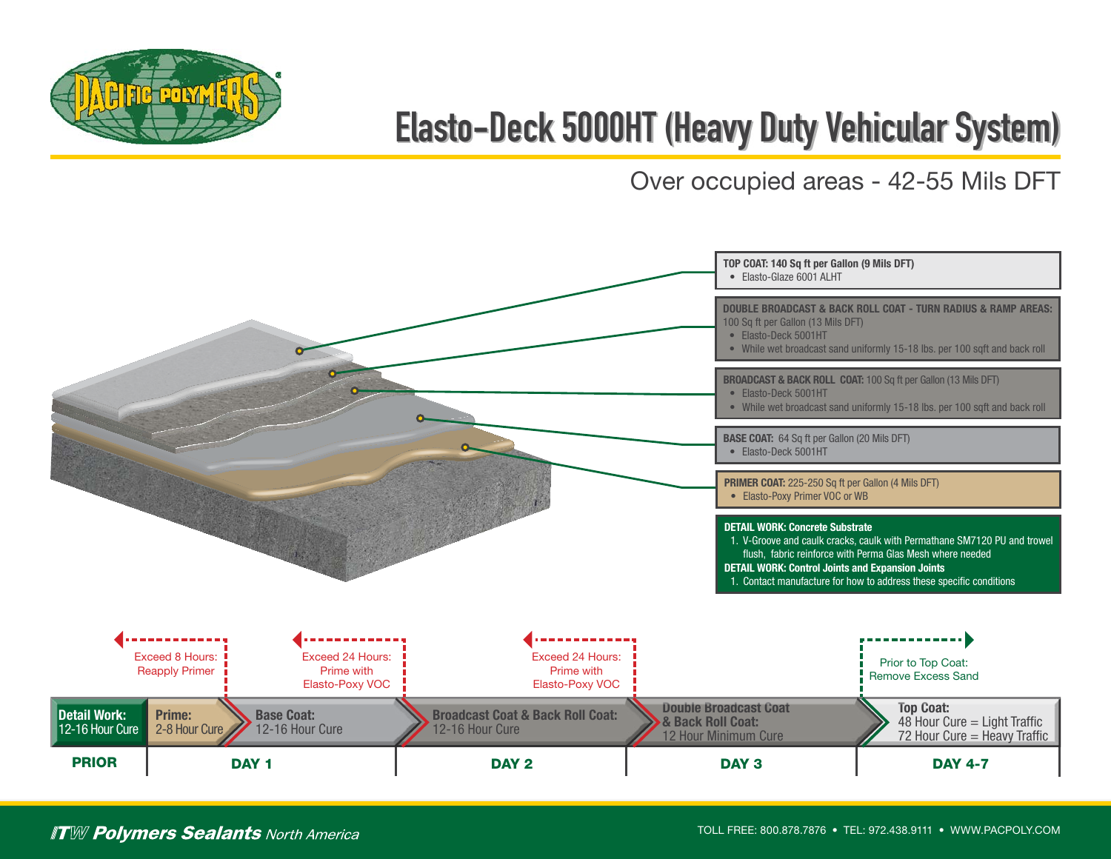

## **Elasto-Deck 5000HT (Heavy Duty Vehicular System)**

Over occupied areas - 42-55 Mils DFT



## **ITW Polymers Sealants** North America